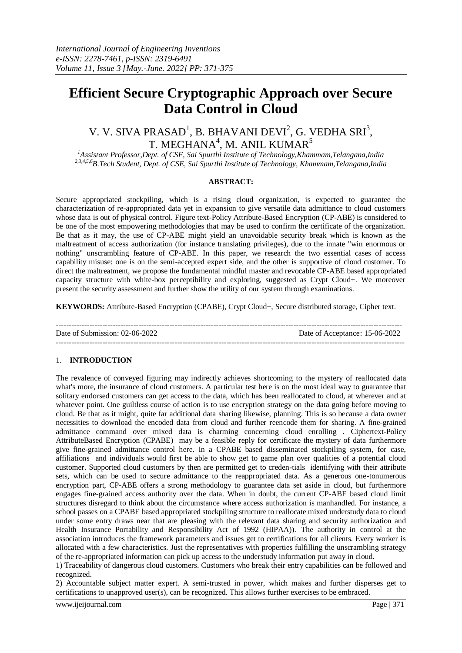# **Efficient Secure Cryptographic Approach over Secure Data Control in Cloud**

# V. V. SIVA PRASAD<sup>1</sup>, B. BHAVANI DEVI<sup>2</sup>, G. VEDHA SRI<sup>3</sup>, T. MEGHANA $^4$ , M. ANIL KUMAR $^5$

*<sup>1</sup>Assistant Professor,Dept. of CSE, Sai Spurthi Institute of Technology,Khammam,Telangana,India 2,3,4,5,6B.Tech Student, Dept. of CSE, Sai Spurthi Institute of Technology, Khammam,Telangana,India*

#### **ABSTRACT:**

Secure appropriated stockpiling, which is a rising cloud organization, is expected to guarantee the characterization of re-appropriated data yet in expansion to give versatile data admittance to cloud customers whose data is out of physical control. Figure text-Policy Attribute-Based Encryption (CP-ABE) is considered to be one of the most empowering methodologies that may be used to confirm the certificate of the organization. Be that as it may, the use of CP-ABE might yield an unavoidable security break which is known as the maltreatment of access authorization (for instance translating privileges), due to the innate "win enormous or nothing" unscrambling feature of CP-ABE. In this paper, we research the two essential cases of access capability misuse: one is on the semi-accepted expert side, and the other is supportive of cloud customer. To direct the maltreatment, we propose the fundamental mindful master and revocable CP-ABE based appropriated capacity structure with white-box perceptibility and exploring, suggested as Crypt Cloud+. We moreover present the security assessment and further show the utility of our system through examinations.

**KEYWORDS:** Attribute-Based Encryption (CPABE), Crypt Cloud+, Secure distributed storage, Cipher text.

-------------------------------------------------------------------------------------------------------------------------------------- Date of Submission: 02-06-2022 Date of Acceptance: 15-06-2022 ---------------------------------------------------------------------------------------------------------------------------------------

### 1. **INTRODUCTION**

The revalence of conveyed figuring may indirectly achieves shortcoming to the mystery of reallocated data what's more, the insurance of cloud customers. A particular test here is on the most ideal way to guarantee that solitary endorsed customers can get access to the data, which has been reallocated to cloud, at wherever and at whatever point. One guiltless course of action is to use encryption strategy on the data going before moving to cloud. Be that as it might, quite far additional data sharing likewise, planning. This is so because a data owner necessities to download the encoded data from cloud and further reencode them for sharing. A fine-grained admittance command over mixed data is charming concerning cloud enrolling . Ciphertext-Policy AttributeBased Encryption (CPABE) may be a feasible reply for certificate the mystery of data furthermore give fine-grained admittance control here. In a CPABE based disseminated stockpiling system, for case, affiliations and individuals would first be able to show get to game plan over qualities of a potential cloud customer. Supported cloud customers by then are permitted get to creden-tials identifying with their attribute sets, which can be used to secure admittance to the reappropriated data. As a generous one-tonumerous encryption part, CP-ABE offers a strong methodology to guarantee data set aside in cloud, but furthermore engages fine-grained access authority over the data. When in doubt, the current CP-ABE based cloud limit structures disregard to think about the circumstance where access authorization is manhandled. For instance, a school passes on a CPABE based appropriated stockpiling structure to reallocate mixed understudy data to cloud under some entry draws near that are pleasing with the relevant data sharing and security authorization and Health Insurance Portability and Responsibility Act of 1992 (HIPAA)). The authority in control at the association introduces the framework parameters and issues get to certifications for all clients. Every worker is allocated with a few characteristics. Just the representatives with properties fulfilling the unscrambling strategy of the re-appropriated information can pick up access to the understudy information put away in cloud.

1) Traceability of dangerous cloud customers. Customers who break their entry capabilities can be followed and recognized.

2) Accountable subject matter expert. A semi-trusted in power, which makes and further disperses get to certifications to unapproved user(s), can be recognized. This allows further exercises to be embraced.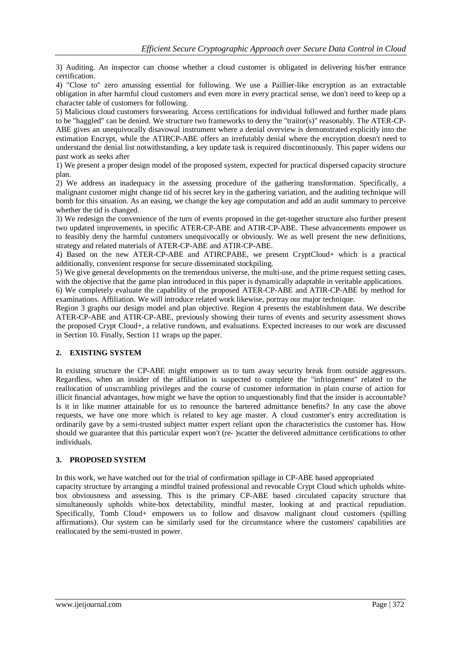3) Auditing. An inspector can choose whether a cloud customer is obligated in delivering his/her entrance certification.

4) "Close to" zero amassing essential for following. We use a Paillier-like encryption as an extractable obligation in after harmful cloud customers and even more in every practical sense, we don't need to keep up a character table of customers for following.

5) Malicious cloud customers forswearing. Access certifications for individual followed and further made plans to be "haggled" can be denied. We structure two frameworks to deny the "traitor(s)" reasonably. The ATER-CP-ABE gives an unequivocally disavowal instrument where a denial overview is demonstrated explicitly into the estimation Encrypt, while the ATIRCP-ABE offers an irrefutably denial where the encryption doesn't need to understand the denial list notwithstanding, a key update task is required discontinuously. This paper widens our past work as seeks after

1) We present a proper design model of the proposed system, expected for practical dispersed capacity structure plan.

2) We address an inadequacy in the assessing procedure of the gathering transformation. Specifically, a malignant customer might change tid of his secret key in the gathering variation, and the auditing technique will bomb for this situation. As an easing, we change the key age computation and add an audit summary to perceive whether the tid is changed.

3) We redesign the convenience of the turn of events proposed in the get-together structure also further present two updated improvements, in specific ATER-CP-ABE and ATIR-CP-ABE. These advancements empower us to feasibly deny the harmful customers unequivocally or obviously. We as well present the new definitions, strategy and related materials of ATER-CP-ABE and ATIR-CP-ABE.

4) Based on the new ATER-CP-ABE and ATIRCPABE, we present CryptCloud+ which is a practical additionally, convenient response for secure disseminated stockpiling.

5) We give general developments on the tremendous universe, the multi-use, and the prime request setting cases, with the objective that the game plan introduced in this paper is dynamically adaptable in veritable applications.

6) We completely evaluate the capability of the proposed ATER-CP-ABE and ATIR-CP-ABE by method for examinations. Affiliation. We will introduce related work likewise, portray our major technique.

Region 3 graphs our design model and plan objective. Region 4 presents the establishment data. We describe ATER-CP-ABE and ATIR-CP-ABE, previously showing their turns of events and security assessment shows the proposed Crypt Cloud+, a relative rundown, and evaluations. Expected increases to our work are discussed in Section 10. Finally, Section 11 wraps up the paper.

### **2. EXISTING SYSTEM**

In existing structure the CP-ABE might empower us to turn away security break from outside aggressors. Regardless, when an insider of the affiliation is suspected to complete the "infringement" related to the reallocation of unscrambling privileges and the course of customer information in plain course of action for illicit financial advantages, how might we have the option to unquestionably find that the insider is accountable? Is it in like manner attainable for us to renounce the bartered admittance benefits? In any case the above requests, we have one more which is related to key age master. A cloud customer's entry accreditation is ordinarily gave by a semi-trusted subject matter expert reliant upon the characteristics the customer has. How should we guarantee that this particular expert won't (re- )scatter the delivered admittance certifications to other individuals.

### **3. PROPOSED SYSTEM**

In this work, we have watched out for the trial of confirmation spillage in CP-ABE based appropriated

capacity structure by arranging a mindful trained professional and revocable Crypt Cloud which upholds whitebox obviousness and assessing. This is the primary CP-ABE based circulated capacity structure that simultaneously upholds white-box detectability, mindful master, looking at and practical repudiation. Specifically, Tomb Cloud+ empowers us to follow and disavow malignant cloud customers (spilling affirmations). Our system can be similarly used for the circumstance where the customers' capabilities are reallocated by the semi-trusted in power.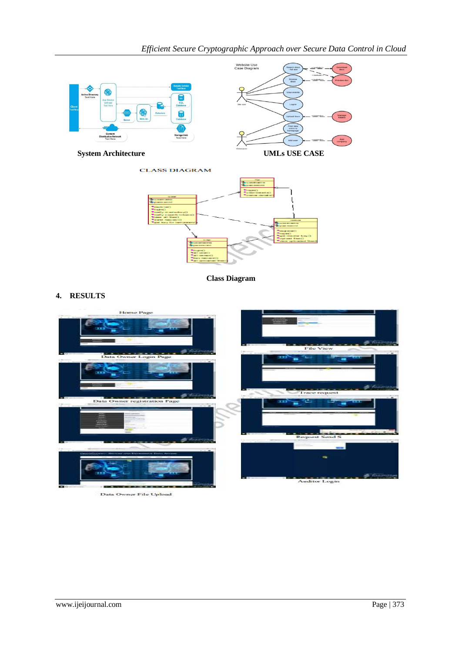

**CLASS DIAGRAM** 



**Class Diagram**

**4. RESULTS**



Data Owner File Upload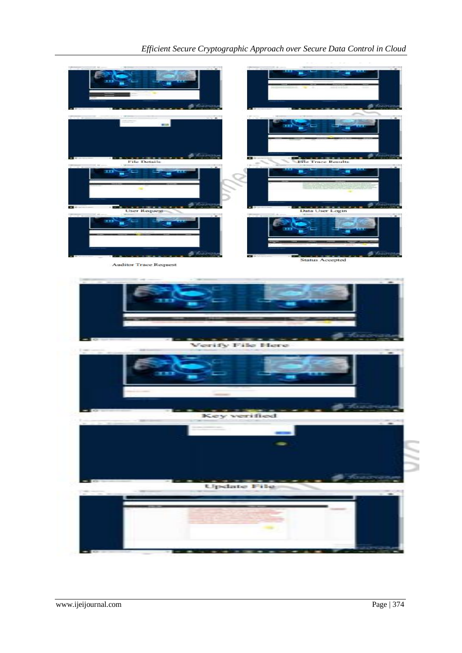

## *Efficient Secure Cryptographic Approach over Secure Data Control in Cloud*